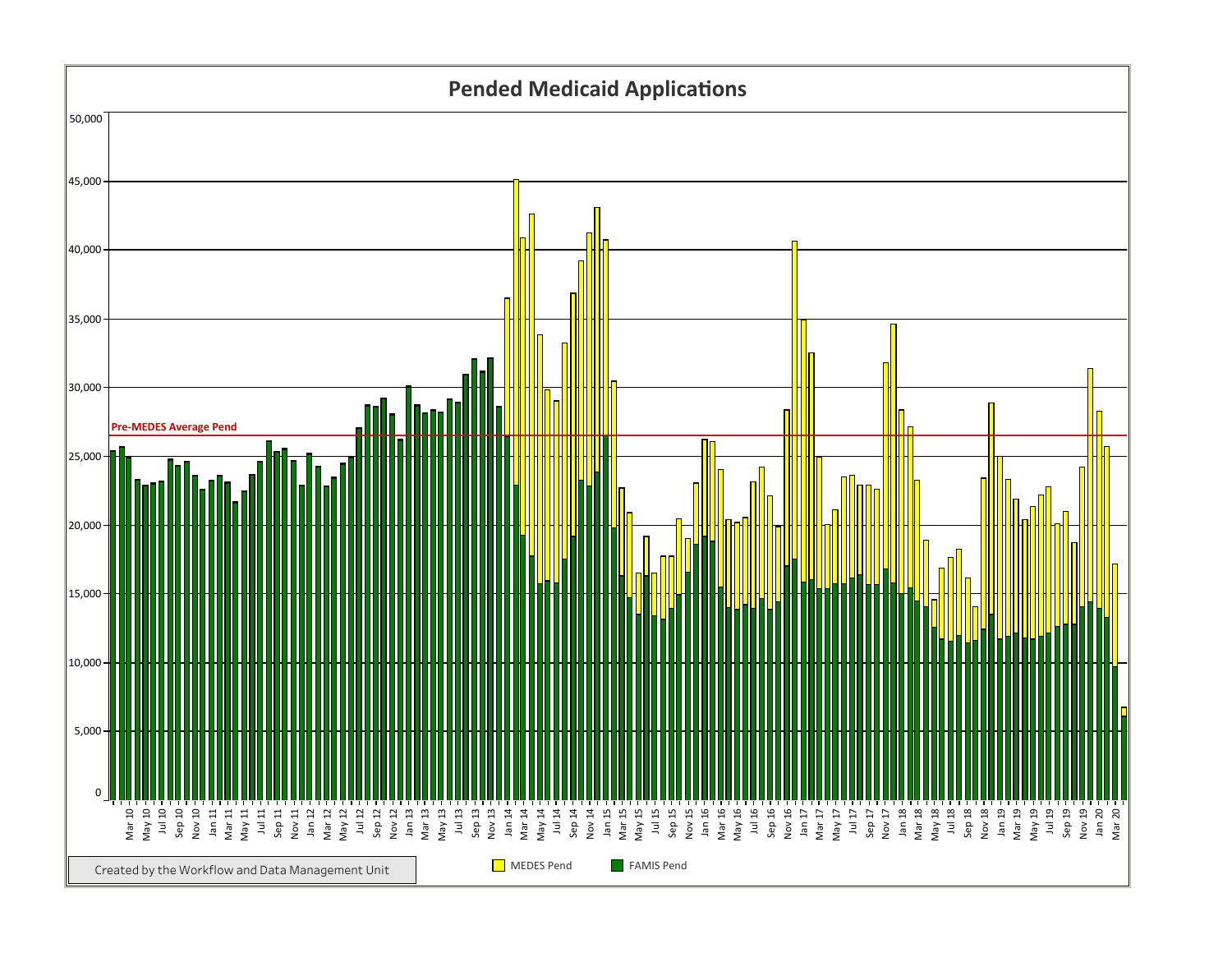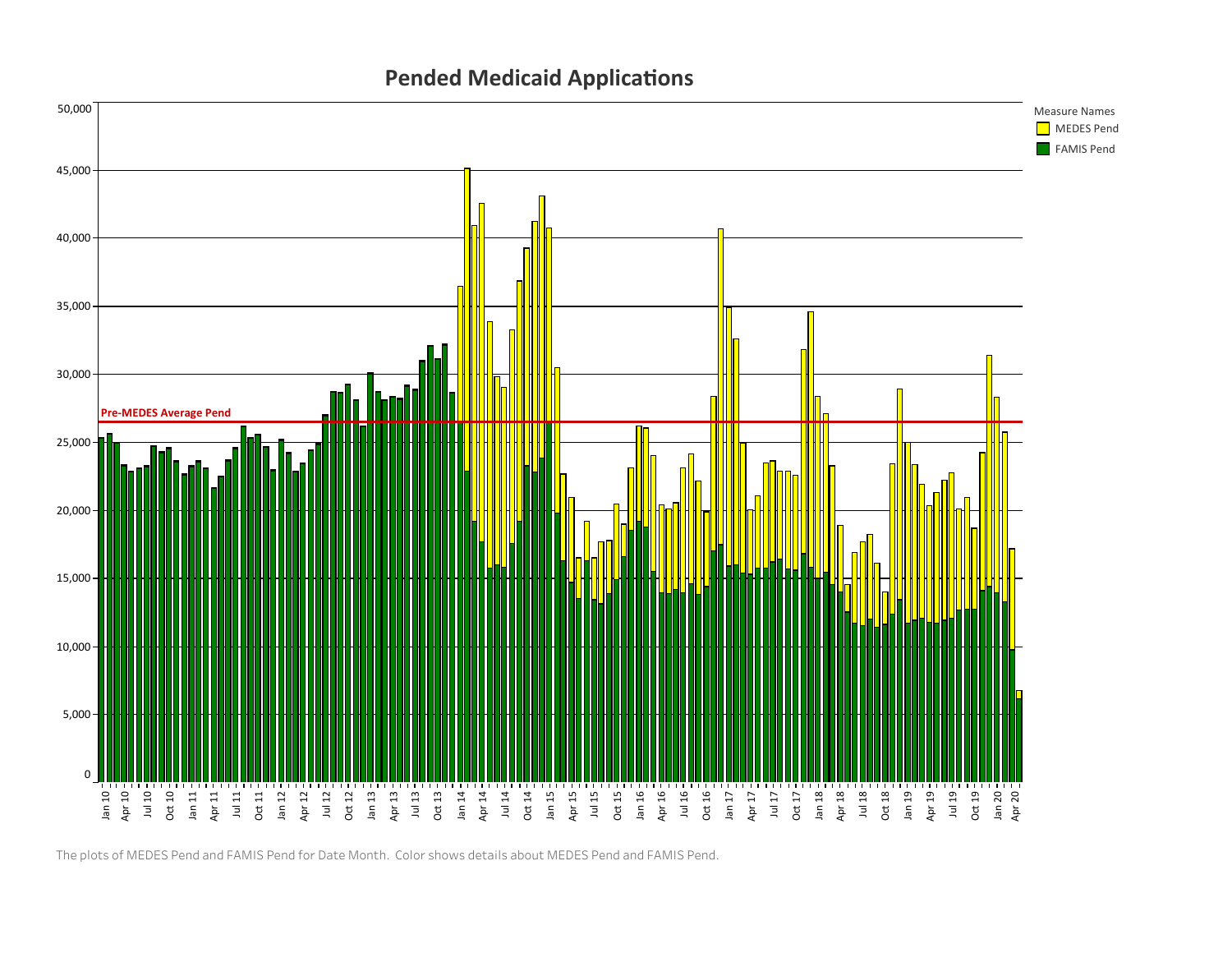## Pended Medicaid Applications



The plots of MEDES Pend and FAMIS Pend for Date Month. Color shows details about MEDES Pend and FAMIS Pend.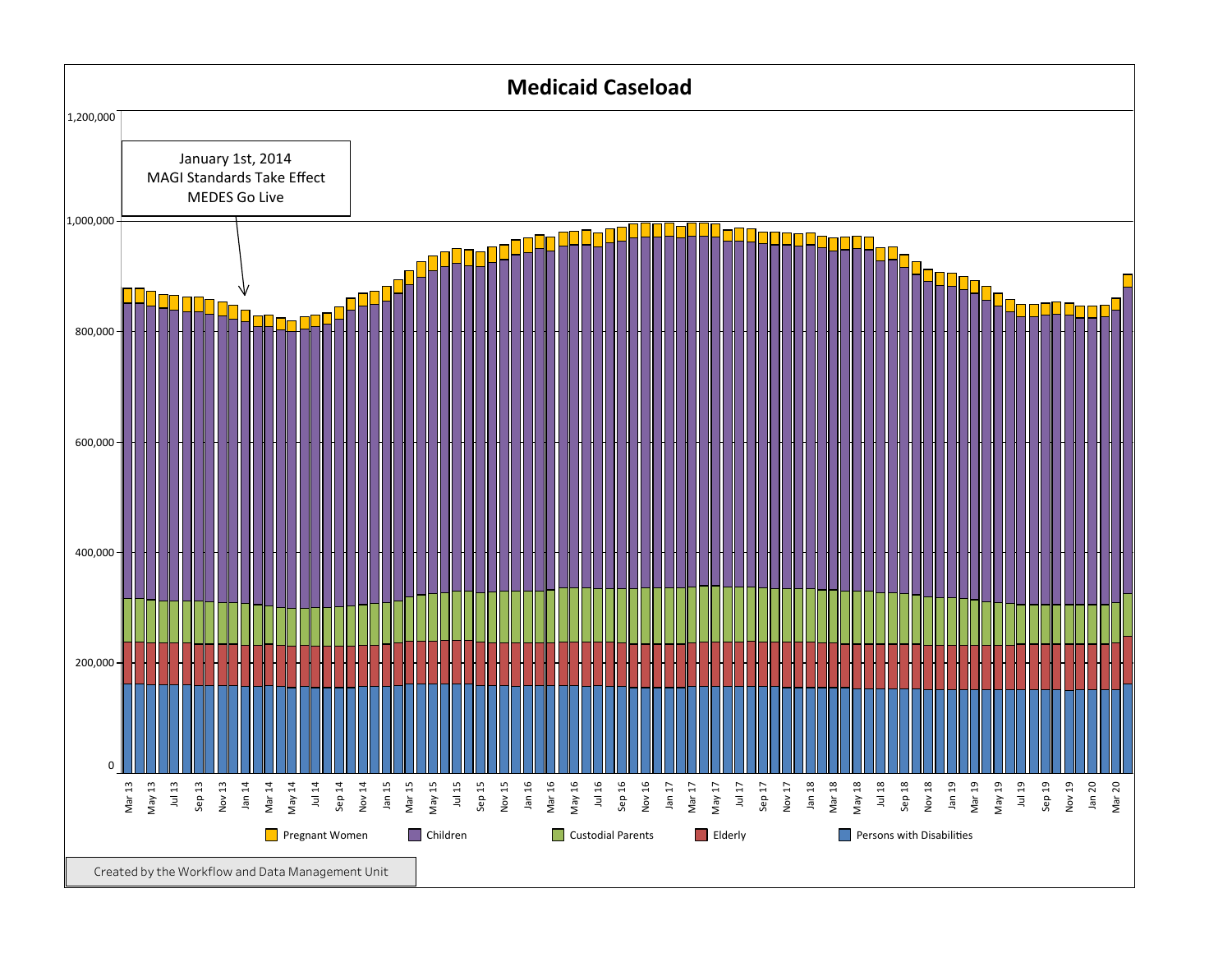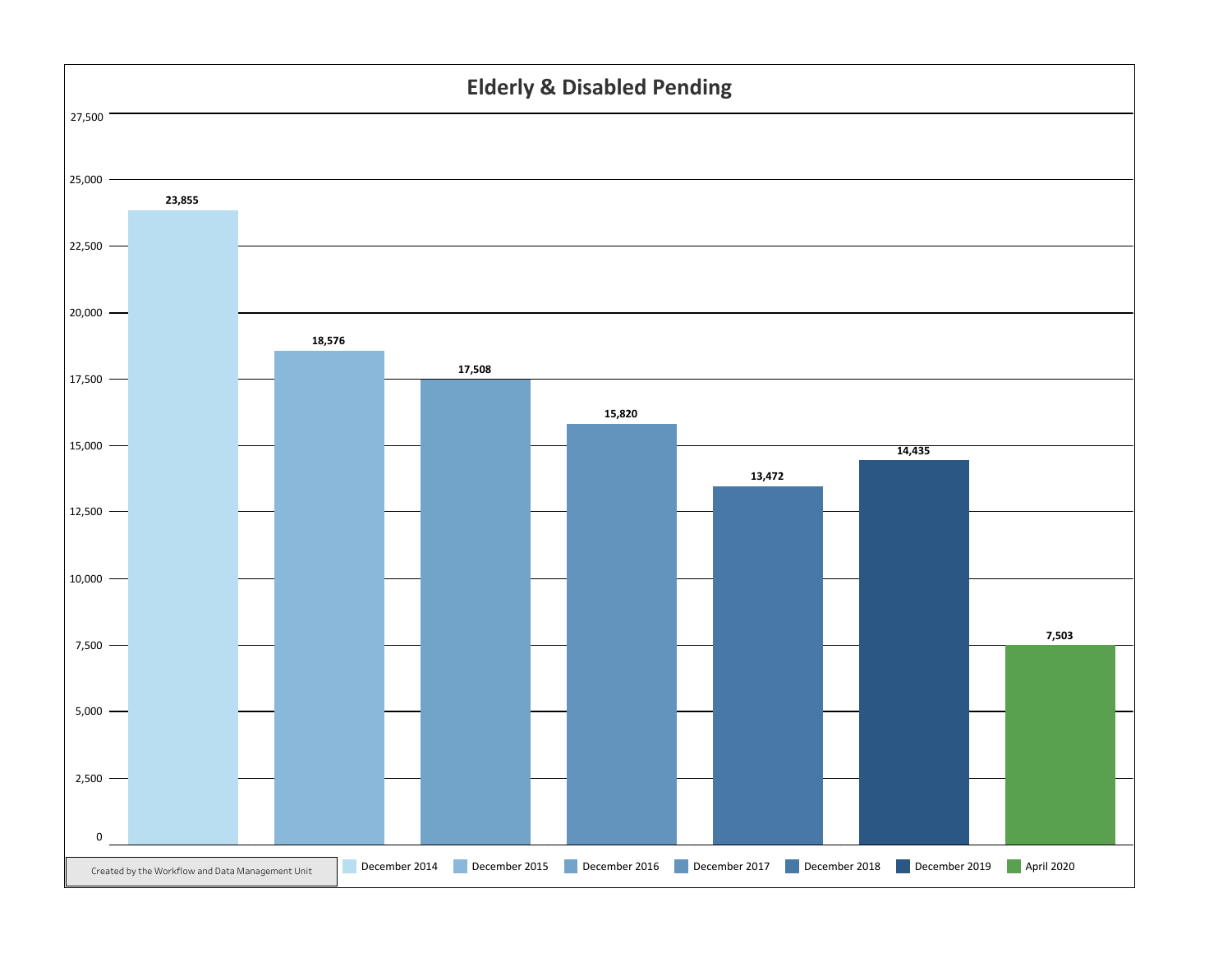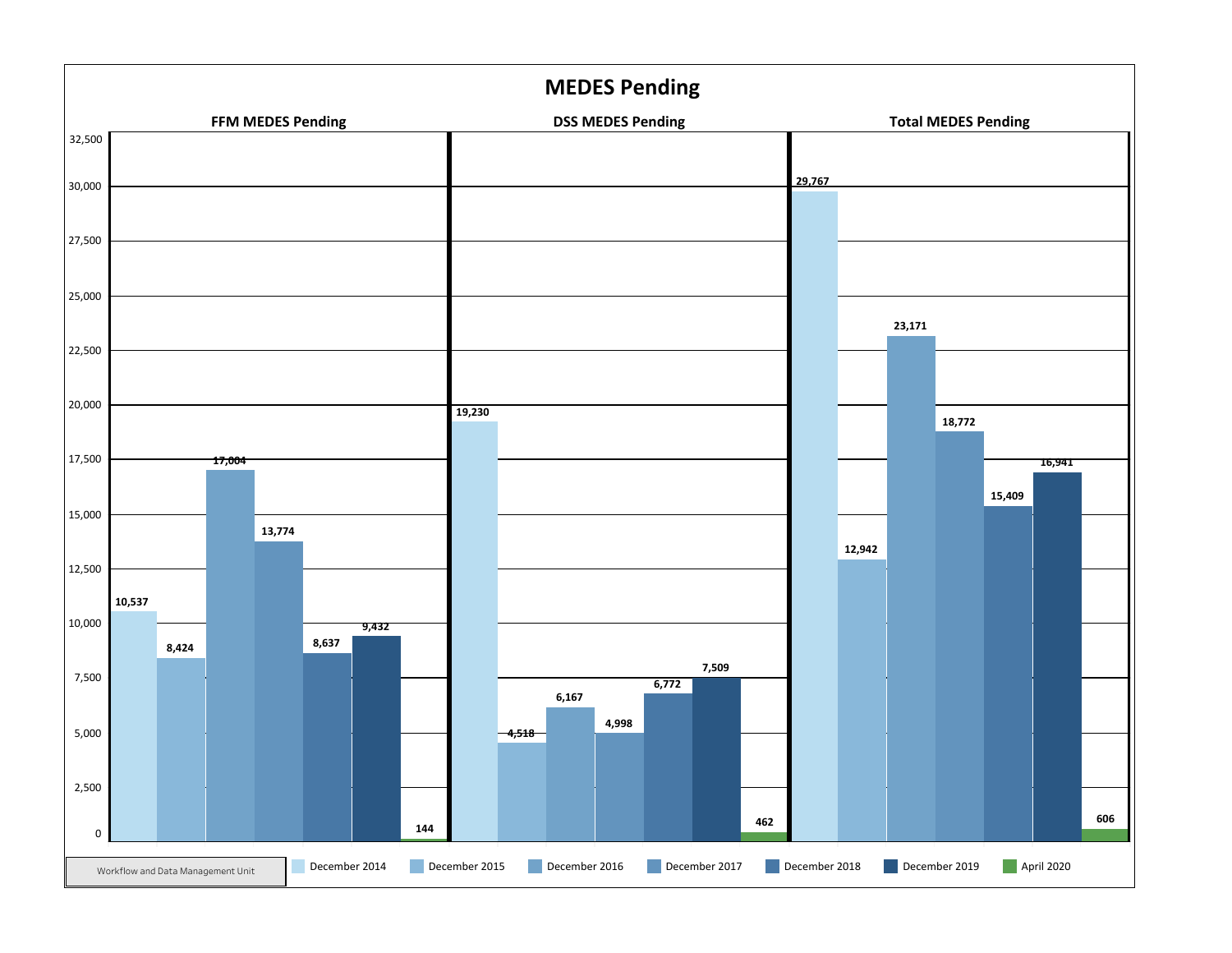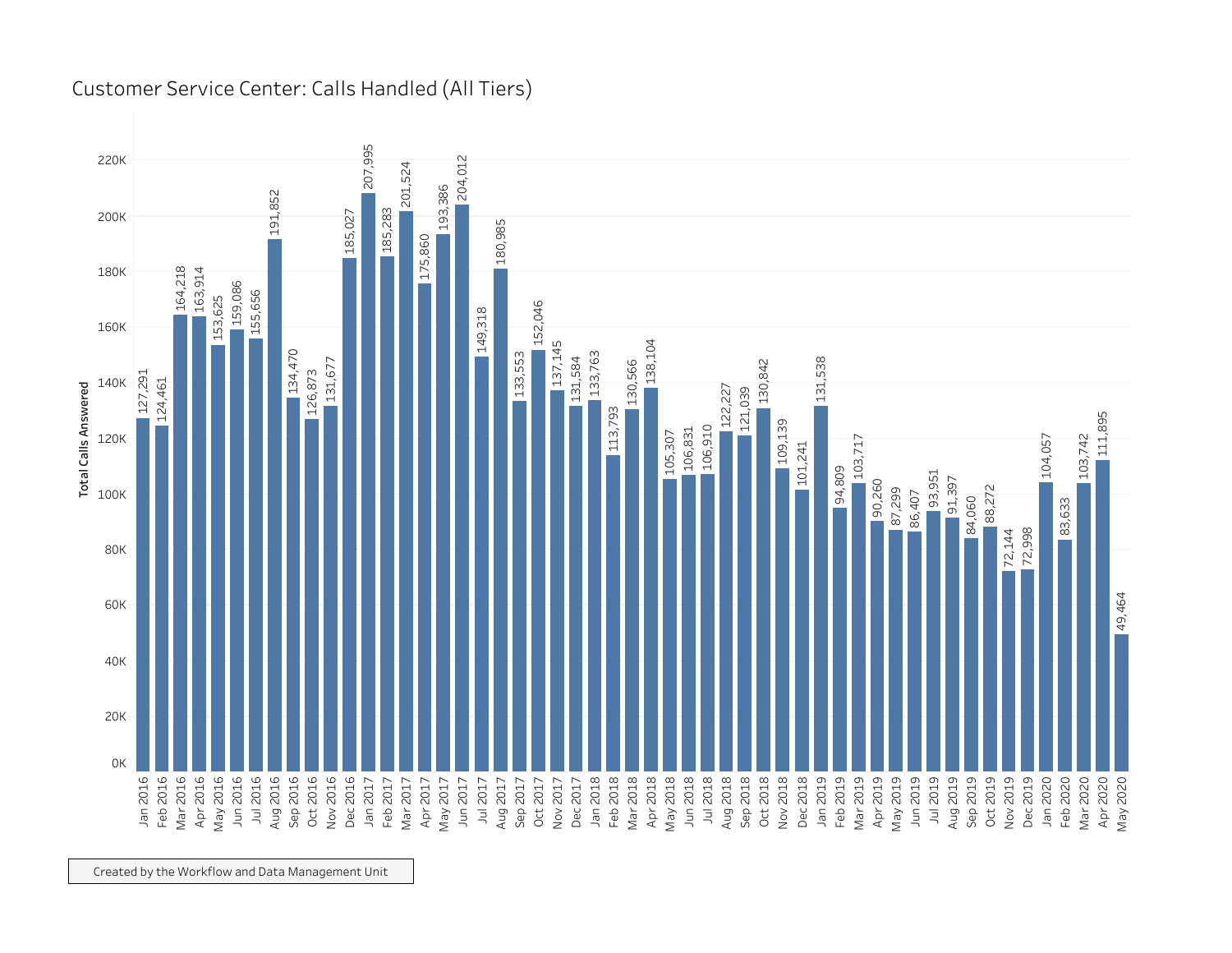

Customer Service Center: Calls Handled (All Tiers)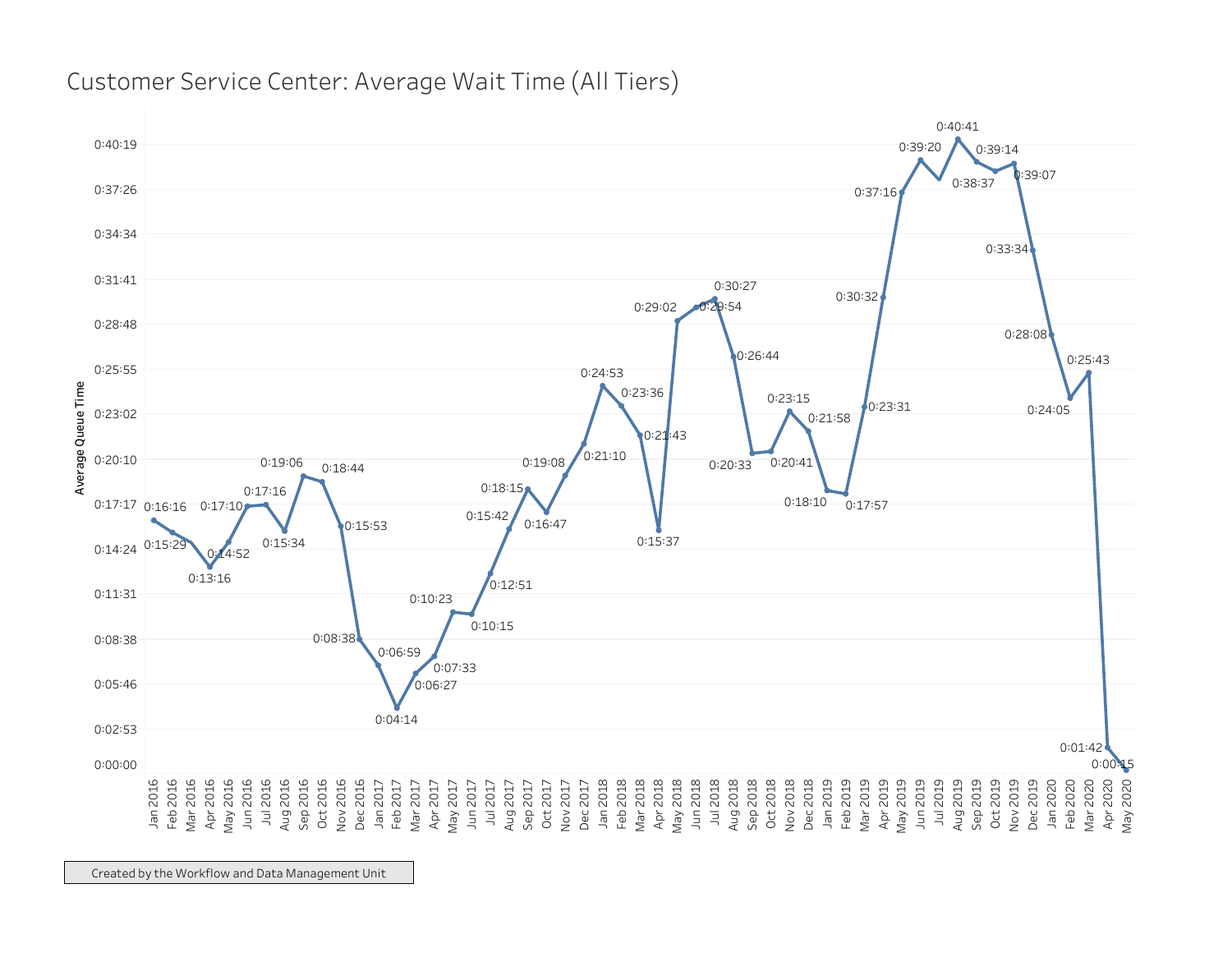

## Customer Service Center: Average Wait Time (All Tiers)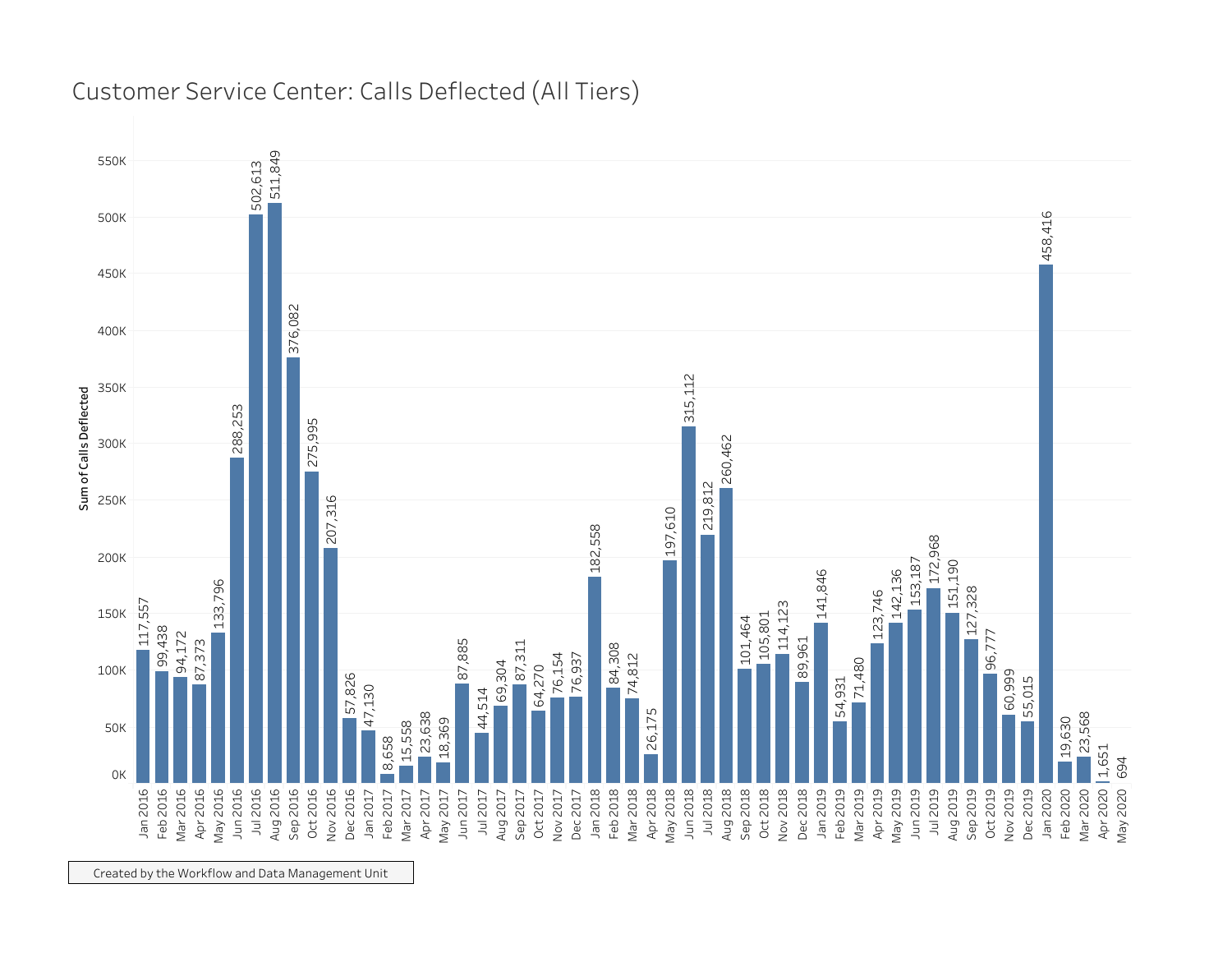

## Customer Service Center: Calls Deflected (All Tiers)